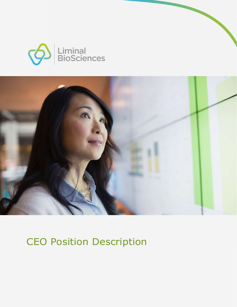



## CEO Position Description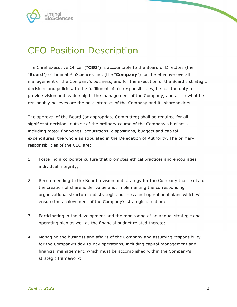

## CEO Position Description

The Chief Executive Officer ("CEO") is accountable to the Board of Directors (the "<br>"Board") of Liminal BioSciences Inc. (the "Company") for the effective overall management of the Company's business, and for the execution of the Board's strategic decisions and policies. In the fulfillment of his responsibilities, he has the duty to provide vision and leadership in the management of the Company, and act in what he reasonably believes are the best interests of the Company and its shareholders.

The approval of the Board (or appropriate Committee) shall be required for all significant decisions outside of the ordinary course of the Company's business, including major financings, acquisitions, dispositions, budgets and capital expenditures, the whole as stipulated in the Delegation of Authority. The primary responsibilities of the CEO are:

- 1. Fostering a corporate culture that promotes ethical practices and encourages individual integrity;
- 2. Recommending to the Board a vision and strategy for the Company that leads to the creation of shareholder value and, implementing the corresponding organizational structure and strategic, business and operational plans which will ensure the achievement of the Company's strategic direction;
- 3. Participating in the development and the monitoring of an annual strategic and operating plan as well as the financial budget related thereto;
- 4. Managing the business and affairs of the Company and assuming responsibility for the Company's day-to-day operations, including capital management and financial management, which must be accomplished within the Company's strategic framework;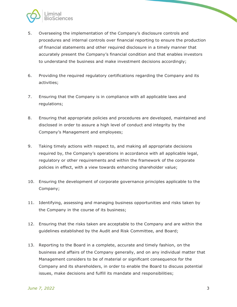

- 5. Overseeing the implementation of the Company's disclosure controls and procedures and internal controls over financial reporting to ensure the production of financial statements and other required disclosure in a timely manner that accurately present the Company's financial condition and that enables investors to understand the business and make investment decisions accordingly;
- 6. Providing the required regulatory certifications regarding the Company and its activities;
- 7. Ensuring that the Company is in compliance with all applicable laws and regulations;
- 8. Ensuring that appropriate policies and procedures are developed, maintained and disclosed in order to assure a high level of conduct and integrity by the Company's Management and employees;
- 9. Taking timely actions with respect to, and making all appropriate decisions required by, the Company's operations in accordance with all applicable legal, regulatory or other requirements and within the framework of the corporate policies in effect, with a view towards enhancing shareholder value;
- 10. Ensuring the development of corporate governance principles applicable to the Company;
- 11. Identifying, assessing and managing business opportunities and risks taken by the Company in the course of its business;
- 12. Ensuring that the risks taken are acceptable to the Company and are within the guidelines established by the Audit and Risk Committee, and Board;
- 13. Reporting to the Board in a complete, accurate and timely fashion, on the business and affairs of the Company generally, and on any individual matter that Management considers to be of material or significant consequence for the Company and its shareholders, in order to enable the Board to discuss potential issues, make decisions and fulfill its mandate and responsibilities;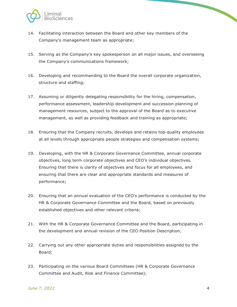

- 14. Facilitating interaction between the Board and other key members of the Company's management team as appropriate;
- 15. Serving as the Company's key spokesperson on all major issues, and overseeing the Company's communications framework;
- 16. Developing and recommending to the Board the overall corporate organization, structure and staffing;
- 17. Assuming or diligently delegating responsibility for the hiring, compensation, performance assessment, leadership development and succession planning of management resources, subject to the approval of the Board as to executive management, as well as providing feedback and training as appropriate;
- 18. Ensuring that the Company recruits, develops and retains top-quality employees at all levels through appropriate people strategies and compensation systems;
- 19. Developing, with the HR & Corporate Governance Committee, annual corporate objectives, long term corporate objectives and CEO's individual objectives. Ensuring that there is clarity of objectives and focus for all employees, and ensuring that there are clear and appropriate standards and measures of performance;
- 20. Ensuring that an annual evaluation of the CEO's performance is conducted by the HR & Corporate Governance Committee and the Board, based on previously established objectives and other relevant criteria;
- 21. With the HR & Corporate Governance Committee and the Board, participating in the development and annual revision of the CEO Position Description;
- 22. Carrying out any other appropriate duties and responsibilities assigned by the Board;
- 23. Participating on the various Board Committees (HR & Corporate Governance Committee and Audit, Risk and Finance Committee);

 $\overline{\phantom{0}}$